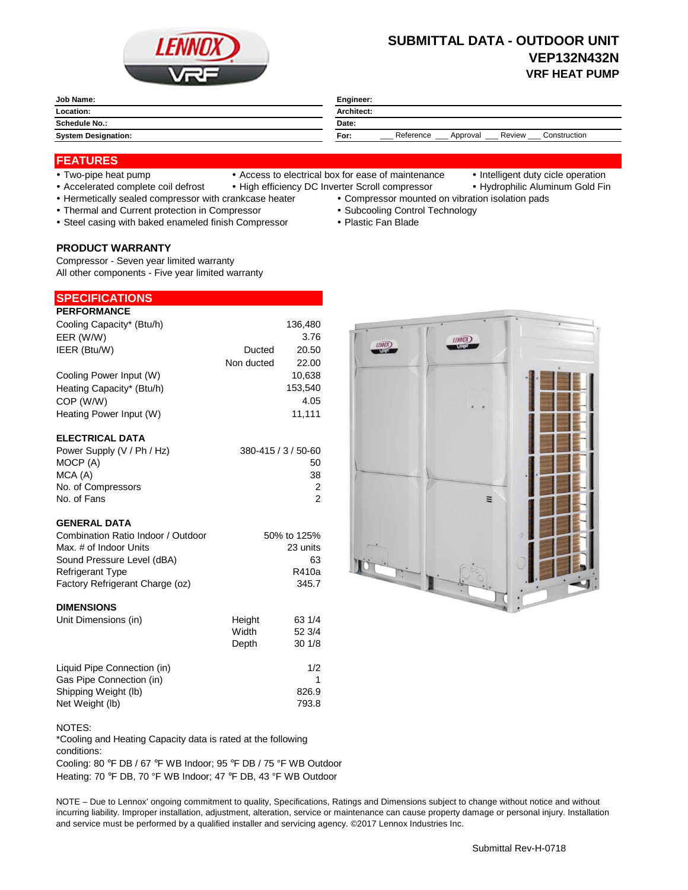

# **SUBMITTAL DATA - OUTDOOR UNIT VEP132N432N VRF HEAT PUMP**

| Job Name:                  | Engineer:                                               |  |
|----------------------------|---------------------------------------------------------|--|
| Location:                  | <b>Architect:</b>                                       |  |
| <b>Schedule No.:</b>       | Date:                                                   |  |
| <b>System Designation:</b> | Construction<br>Reference<br>Review<br>For:<br>Approval |  |

## **FEATURES**

- 
- Two-pipe heat pump Access to electrical box for ease of maintenance Intelligent duty cicle operation
- 
- Accelerated complete coil defrost High efficiency DC Inverter Scroll compressor Hydrophilic Aluminum Gold Fin
- Hermetically sealed compressor with crankcase heater Compressor mounted on vibration isolation pads
- Thermal and Current protection in Compressor **Subcooling Control Technology · Subcooling Control Technology**
- Steel casing with baked enameled finish Compressor Plastic Fan Blade

## **PRODUCT WARRANTY**

Compressor - Seven year limited warranty All other components - Five year limited warranty

### **PERFORMANCE SPECIFICATIONS**

| Cooling Capacity* (Btu/h)  |                     | 136,480 |
|----------------------------|---------------------|---------|
| EER (W/W)                  |                     | 3.76    |
| IEER (Btu/W)               | Ducted              | 20.50   |
|                            | Non ducted          | 22.00   |
| Cooling Power Input (W)    |                     | 10,638  |
| Heating Capacity* (Btu/h)  |                     | 153,540 |
| COP (W/W)                  |                     | 4.05    |
| Heating Power Input (W)    |                     | 11,111  |
| <b>ELECTRICAL DATA</b>     |                     |         |
| Power Supply (V / Ph / Hz) | 380-415 / 3 / 50-60 |         |

| MOCP (A)           | 50 |
|--------------------|----|
| MCA (A)            | 38 |
| No. of Compressors |    |
| No. of Fans        |    |
|                    |    |

## **GENERAL DATA**

| 50% to 125% |
|-------------|
| 23 units    |
| 63          |
| R410a       |
| 345.7       |
|             |

## **DIMENSIONS**

| Unit Dimensions (in)        | Height | 63 1/4 |
|-----------------------------|--------|--------|
|                             | Width  | 52 3/4 |
|                             | Depth  | 301/8  |
| Liquid Pipe Connection (in) |        | 1/2    |
| Gas Pipe Connection (in)    |        |        |
| Shipping Weight (lb)        |        | 826.9  |
| Net Weight (lb)             |        | 793.8  |



\*Cooling and Heating Capacity data is rated at the following conditions:

Cooling: 80 °F DB / 67 °F WB Indoor; 95 °F DB / 75 °F WB Outdoor Heating: 70 °F DB, 70 °F WB Indoor; 47 °F DB, 43 °F WB Outdoor

NOTE – Due to Lennox' ongoing commitment to quality, Specifications, Ratings and Dimensions subject to change without notice and without incurring liability. Improper installation, adjustment, alteration, service or maintenance can cause property damage or personal injury. Installation and service must be performed by a qualified installer and servicing agency. ©2017 Lennox Industries Inc.